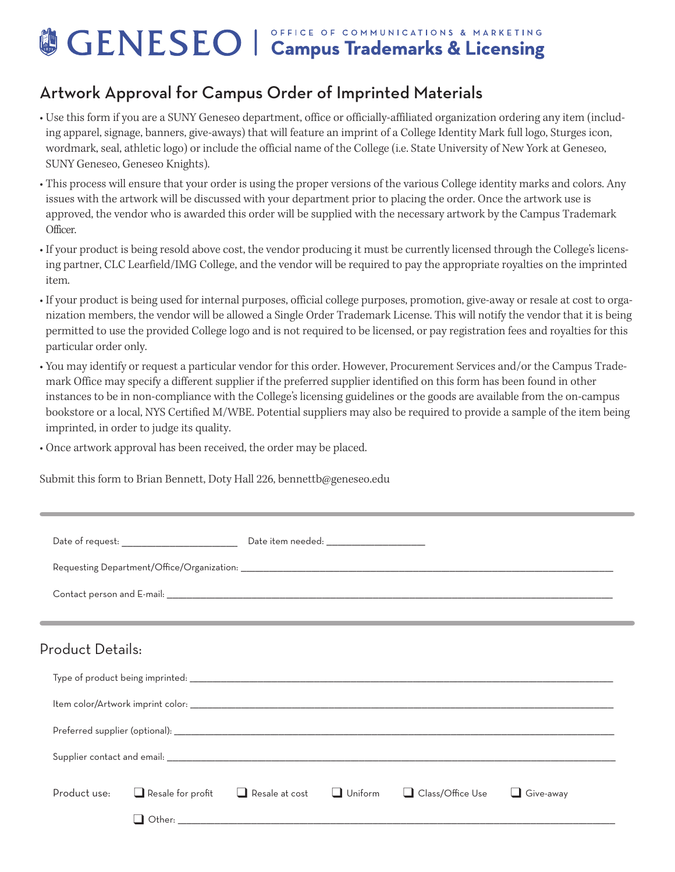## OFFICE OF COMMUNICATIONS & MARKETING GENESEO | Campus Trademarks & Licensing

## Artwork Approval for Campus Order of Imprinted Materials

- Use this form if you are a SUNY Geneseo department, office or officially-affiliated organization ordering any item (including apparel, signage, banners, give-aways) that will feature an imprint of a College Identity Mark full logo, Sturges icon, wordmark, seal, athletic logo) or include the official name of the College (i.e. State University of New York at Geneseo, SUNY Geneseo, Geneseo Knights).
- This process will ensure that your order is using the proper versions of the various College identity marks and colors. Any issues with the artwork will be discussed with your department prior to placing the order. Once the artwork use is approved, the vendor who is awarded this order will be supplied with the necessary artwork by the Campus Trademark Officer.
- If your product is being resold above cost, the vendor producing it must be currently licensed through the College's licensing partner, CLC Learfield/IMG College, and the vendor will be required to pay the appropriate royalties on the imprinted item.
- If your product is being used for internal purposes, official college purposes, promotion, give-away or resale at cost to organization members, the vendor will be allowed a Single Order Trademark License. This will notify the vendor that it is being permitted to use the provided College logo and is not required to be licensed, or pay registration fees and royalties for this particular order only.
- You may identify or request a particular vendor for this order. However, Procurement Services and/or the Campus Trademark Office may specify a different supplier if the preferred supplier identified on this form has been found in other instances to be in non-compliance with the College's licensing guidelines or the goods are available from the on-campus bookstore or a local, NYS Certified M/WBE. Potential suppliers may also be required to provide a sample of the item being imprinted, in order to judge its quality.
- Once artwork approval has been received, the order may be placed.

Submit this form to Brian Bennett, Doty Hall 226, bennettb@geneseo.edu

| Date of request: _________________________ | Date item needed: ______________________                                                                                                                                                                                                                                  |                    |           |
|--------------------------------------------|---------------------------------------------------------------------------------------------------------------------------------------------------------------------------------------------------------------------------------------------------------------------------|--------------------|-----------|
|                                            |                                                                                                                                                                                                                                                                           |                    |           |
|                                            |                                                                                                                                                                                                                                                                           |                    |           |
|                                            |                                                                                                                                                                                                                                                                           |                    |           |
| Product Details:                           |                                                                                                                                                                                                                                                                           |                    |           |
|                                            |                                                                                                                                                                                                                                                                           |                    |           |
|                                            |                                                                                                                                                                                                                                                                           |                    |           |
|                                            |                                                                                                                                                                                                                                                                           |                    |           |
|                                            |                                                                                                                                                                                                                                                                           |                    |           |
| Product use:<br>$\Box$ Resale for profit   | $\Box$ Uniform<br>$\Box$ Resale at cost<br>Other: the contract of the contract of the contract of the contract of the contract of the contract of the contract of the contract of the contract of the contract of the contract of the contract of the contract of the con | □ Class/Office Use | Give-away |